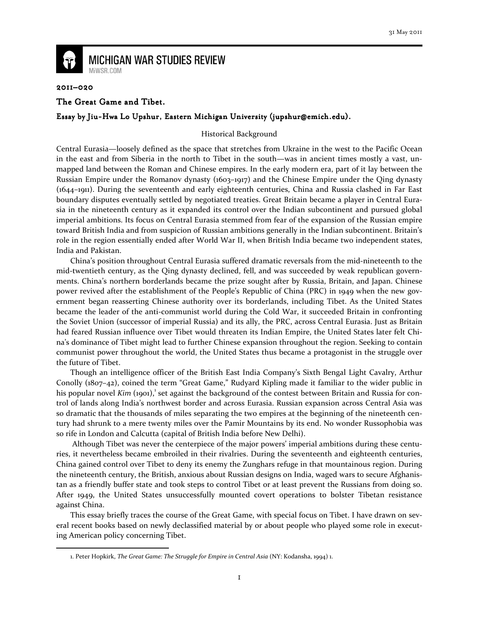

# **MICHIGAN WAR STUDIES REVIEW** MiWSR.COM

#### 2011–020

 $\overline{\phantom{0}}$ 

## The Great Game and Tibet.

## Essay by Jiu-Hwa Lo Upshur, Eastern Michigan University (jupshur@emich.edu).

## Historical Background

Central Eurasia—loosely defined as the space that stretches from Ukraine in the west to the Pacific Ocean in the east and from Siberia in the north to Tibet in the south—was in ancient times mostly a vast, unmapped land between the Roman and Chinese empires. In the early modern era, part of it lay between the Russian Empire under the Romanov dynasty (1603–1917) and the Chinese Empire under the Qing dynasty (1644–1911). During the seventeenth and early eighteenth centuries, China and Russia clashed in Far East boundary disputes eventually settled by negotiated treaties. Great Britain became a player in Central Eurasia in the nineteenth century as it expanded its control over the Indian subcontinent and pursued global imperial ambitions. Its focus on Central Eurasia stemmed from fear of the expansion of the Russian empire toward British India and from suspicion of Russian ambitions generally in the Indian subcontinent. Britain's role in the region essentially ended after World War II, when British India became two independent states, India and Pakistan.

China's position throughout Central Eurasia suffered dramatic reversals from the mid-nineteenth to the mid-twentieth century, as the Qing dynasty declined, fell, and was succeeded by weak republican governments. China's northern borderlands became the prize sought after by Russia, Britain, and Japan. Chinese power revived after the establishment of the People's Republic of China (PRC) in 1949 when the new government began reasserting Chinese authority over its borderlands, including Tibet. As the United States became the leader of the anti-communist world during the Cold War, it succeeded Britain in confronting the Soviet Union (successor of imperial Russia) and its ally, the PRC, across Central Eurasia. Just as Britain had feared Russian influence over Tibet would threaten its Indian Empire, the United States later felt China's dominance of Tibet might lead to further Chinese expansion throughout the region. Seeking to contain communist power throughout the world, the United States thus became a protagonist in the struggle over the future of Tibet.

Though an intelligence officer of the British East India Company's Sixth Bengal Light Cavalry, Arthur Conolly (1807–42), coined the term "Great Game," Rudyard Kipling made it familiar to the wider public in his popular novel Kim (1901),<sup>1</sup> set against the background of the contest between Britain and Russia for control of lands along India's northwest border and across Eurasia. Russian expansion across Central Asia was so dramatic that the thousands of miles separating the two empires at the beginning of the nineteenth century had shrunk to a mere twenty miles over the Pamir Mountains by its end. No wonder Russophobia was so rife in London and Calcutta (capital of British India before New Delhi).

 Although Tibet was never the centerpiece of the major powers' imperial ambitions during these centuries, it nevertheless became embroiled in their rivalries. During the seventeenth and eighteenth centuries, China gained control over Tibet to deny its enemy the Zunghars refuge in that mountainous region. During the nineteenth century, the British, anxious about Russian designs on India, waged wars to secure Afghanistan as a friendly buffer state and took steps to control Tibet or at least prevent the Russians from doing so. After 1949, the United States unsuccessfully mounted covert operations to bolster Tibetan resistance against China.

This essay briefly traces the course of the Great Game, with special focus on Tibet. I have drawn on several recent books based on newly declassified material by or about people who played some role in executing American policy concerning Tibet.

<sup>1.</sup> Peter Hopkirk, The Great Game: The Struggle for Empire in Central Asia (NY: Kodansha, 1994) 1.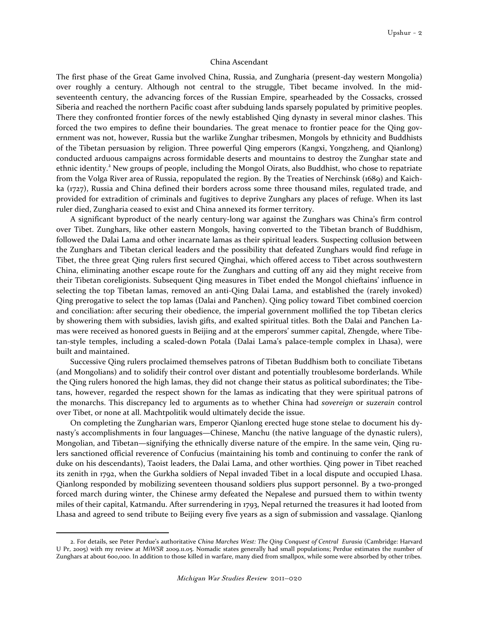#### China Ascendant

The first phase of the Great Game involved China, Russia, and Zungharia (present-day western Mongolia) over roughly a century. Although not central to the struggle, Tibet became involved. In the midseventeenth century, the advancing forces of the Russian Empire, spearheaded by the Cossacks, crossed Siberia and reached the northern Pacific coast after subduing lands sparsely populated by primitive peoples. There they confronted frontier forces of the newly established Qing dynasty in several minor clashes. This forced the two empires to define their boundaries. The great menace to frontier peace for the Qing government was not, however, Russia but the warlike Zunghar tribesmen, Mongols by ethnicity and Buddhists of the Tibetan persuasion by religion. Three powerful Qing emperors (Kangxi, Yongzheng, and Qianlong) conducted arduous campaigns across formidable deserts and mountains to destroy the Zunghar state and ethnic identity.<sup>2</sup> New groups of people, including the Mongol Oirats, also Buddhist, who chose to repatriate from the Volga River area of Russia, repopulated the region. By the Treaties of Nerchinsk (1689) and Kaichka (1727), Russia and China defined their borders across some three thousand miles, regulated trade, and provided for extradition of criminals and fugitives to deprive Zunghars any places of refuge. When its last ruler died, Zungharia ceased to exist and China annexed its former territory.

A significant byproduct of the nearly century-long war against the Zunghars was China's firm control over Tibet. Zunghars, like other eastern Mongols, having converted to the Tibetan branch of Buddhism, followed the Dalai Lama and other incarnate lamas as their spiritual leaders. Suspecting collusion between the Zunghars and Tibetan clerical leaders and the possibility that defeated Zunghars would find refuge in Tibet, the three great Qing rulers first secured Qinghai, which offered access to Tibet across southwestern China, eliminating another escape route for the Zunghars and cutting off any aid they might receive from their Tibetan coreligionists. Subsequent Qing measures in Tibet ended the Mongol chieftains' influence in selecting the top Tibetan lamas, removed an anti-Qing Dalai Lama, and established the (rarely invoked) Qing prerogative to select the top lamas (Dalai and Panchen). Qing policy toward Tibet combined coercion and conciliation: after securing their obedience, the imperial government mollified the top Tibetan clerics by showering them with subsidies, lavish gifts, and exalted spiritual titles. Both the Dalai and Panchen Lamas were received as honored guests in Beijing and at the emperors' summer capital, Zhengde, where Tibetan-style temples, including a scaled-down Potala (Dalai Lama's palace-temple complex in Lhasa), were built and maintained.

Successive Qing rulers proclaimed themselves patrons of Tibetan Buddhism both to conciliate Tibetans (and Mongolians) and to solidify their control over distant and potentially troublesome borderlands. While the Qing rulers honored the high lamas, they did not change their status as political subordinates; the Tibetans, however, regarded the respect shown for the lamas as indicating that they were spiritual patrons of the monarchs. This discrepancy led to arguments as to whether China had sovereign or suzerain control over Tibet, or none at all. Machtpolitik would ultimately decide the issue.

On completing the Zungharian wars, Emperor Qianlong erected huge stone stelae to document his dynasty's accomplishments in four languages—Chinese, Manchu (the native language of the dynastic rulers), Mongolian, and Tibetan—signifying the ethnically diverse nature of the empire. In the same vein, Qing rulers sanctioned official reverence of Confucius (maintaining his tomb and continuing to confer the rank of duke on his descendants), Taoist leaders, the Dalai Lama, and other worthies. Qing power in Tibet reached its zenith in 1792, when the Gurkha soldiers of Nepal invaded Tibet in a local dispute and occupied Lhasa. Qianlong responded by mobilizing seventeen thousand soldiers plus support personnel. By a two-pronged forced march during winter, the Chinese army defeated the Nepalese and pursued them to within twenty miles of their capital, Katmandu. After surrendering in 1793, Nepal returned the treasures it had looted from Lhasa and agreed to send tribute to Beijing every five years as a sign of submission and vassalage. Qianlong

<sup>2.</sup> For details, see Peter Perdue's authoritative China Marches West: The Qing Conquest of Central Eurasia (Cambridge: Harvard U Pr, 2005) with my review at MiWSR 2009.11.05. Nomadic states generally had small populations; Perdue estimates the number of Zunghars at about 600,000. In addition to those killed in warfare, many died from smallpox, while some were absorbed by other tribes.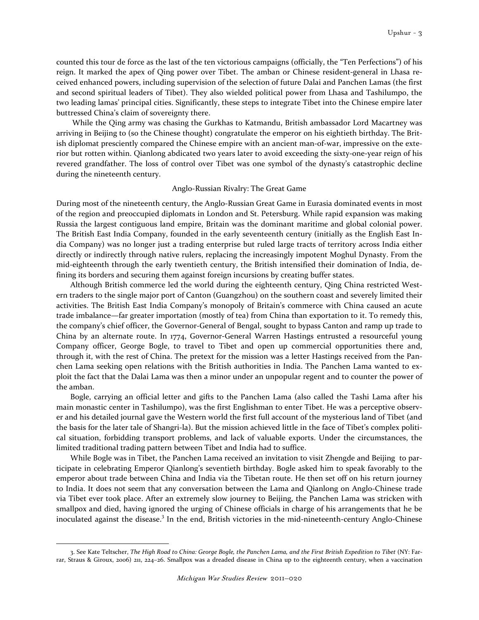counted this tour de force as the last of the ten victorious campaigns (officially, the "Ten Perfections") of his reign. It marked the apex of Qing power over Tibet. The amban or Chinese resident-general in Lhasa received enhanced powers, including supervision of the selection of future Dalai and Panchen Lamas (the first and second spiritual leaders of Tibet). They also wielded political power from Lhasa and Tashilumpo, the two leading lamas' principal cities. Significantly, these steps to integrate Tibet into the Chinese empire later buttressed China's claim of sovereignty there.

 While the Qing army was chasing the Gurkhas to Katmandu, British ambassador Lord Macartney was arriving in Beijing to (so the Chinese thought) congratulate the emperor on his eightieth birthday. The British diplomat presciently compared the Chinese empire with an ancient man-of-war, impressive on the exterior but rotten within. Qianlong abdicated two years later to avoid exceeding the sixty-one-year reign of his revered grandfather. The loss of control over Tibet was one symbol of the dynasty's catastrophic decline during the nineteenth century.

## Anglo-Russian Rivalry: The Great Game

During most of the nineteenth century, the Anglo-Russian Great Game in Eurasia dominated events in most of the region and preoccupied diplomats in London and St. Petersburg. While rapid expansion was making Russia the largest contiguous land empire, Britain was the dominant maritime and global colonial power. The British East India Company, founded in the early seventeenth century (initially as the English East India Company) was no longer just a trading enterprise but ruled large tracts of territory across India either directly or indirectly through native rulers, replacing the increasingly impotent Moghul Dynasty. From the mid-eighteenth through the early twentieth century, the British intensified their domination of India, defining its borders and securing them against foreign incursions by creating buffer states.

Although British commerce led the world during the eighteenth century, Qing China restricted Western traders to the single major port of Canton (Guangzhou) on the southern coast and severely limited their activities. The British East India Company's monopoly of Britain's commerce with China caused an acute trade imbalance—far greater importation (mostly of tea) from China than exportation to it. To remedy this, the company's chief officer, the Governor-General of Bengal, sought to bypass Canton and ramp up trade to China by an alternate route. In 1774, Governor-General Warren Hastings entrusted a resourceful young Company officer, George Bogle, to travel to Tibet and open up commercial opportunities there and, through it, with the rest of China. The pretext for the mission was a letter Hastings received from the Panchen Lama seeking open relations with the British authorities in India. The Panchen Lama wanted to exploit the fact that the Dalai Lama was then a minor under an unpopular regent and to counter the power of the amban.

Bogle, carrying an official letter and gifts to the Panchen Lama (also called the Tashi Lama after his main monastic center in Tashilumpo), was the first Englishman to enter Tibet. He was a perceptive observer and his detailed journal gave the Western world the first full account of the mysterious land of Tibet (and the basis for the later tale of Shangri-la). But the mission achieved little in the face of Tibet's complex political situation, forbidding transport problems, and lack of valuable exports. Under the circumstances, the limited traditional trading pattern between Tibet and India had to suffice.

While Bogle was in Tibet, the Panchen Lama received an invitation to visit Zhengde and Beijing to participate in celebrating Emperor Qianlong's seventieth birthday. Bogle asked him to speak favorably to the emperor about trade between China and India via the Tibetan route. He then set off on his return journey to India. It does not seem that any conversation between the Lama and Qianlong on Anglo-Chinese trade via Tibet ever took place. After an extremely slow journey to Beijing, the Panchen Lama was stricken with smallpox and died, having ignored the urging of Chinese officials in charge of his arrangements that he be inoculated against the disease.<sup>3</sup> In the end, British victories in the mid-nineteenth-century Anglo-Chinese

<sup>3.</sup> See Kate Teltscher, The High Road to China: George Bogle, the Panchen Lama, and the First British Expedition to Tibet (NY: Farrar, Straus & Giroux, 2006) 211, 224–26. Smallpox was a dreaded disease in China up to the eighteenth century, when a vaccination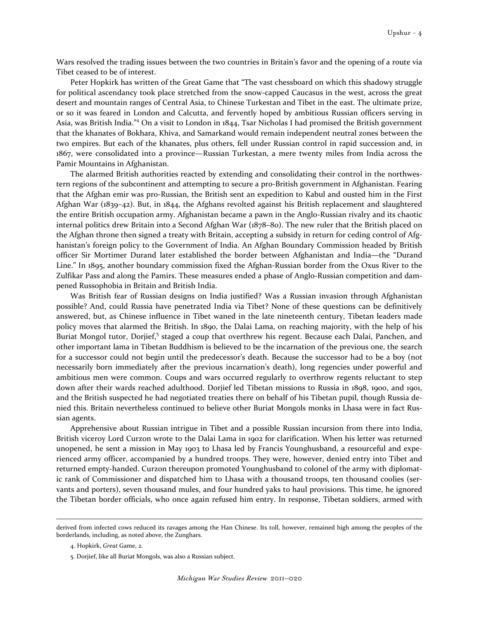Wars resolved the trading issues between the two countries in Britain's favor and the opening of a route via Tibet ceased to be of interest.

Peter Hopkirk has written of the Great Game that "The vast chessboard on which this shadowy struggle for political ascendancy took place stretched from the snow-capped Caucasus in the west, across the great desert and mountain ranges of Central Asia, to Chinese Turkestan and Tibet in the east. The ultimate prize, or so it was feared in London and Calcutta, and fervently hoped by ambitious Russian officers serving in Asia, was British India."<sup>4</sup> On a visit to London in 1844, Tsar Nicholas I had promised the British government that the khanates of Bokhara, Khiva, and Samarkand would remain independent neutral zones between the two empires. But each of the khanates, plus others, fell under Russian control in rapid succession and, in 1867, were consolidated into a province—Russian Turkestan, a mere twenty miles from India across the Pamir Mountains in Afghanistan.

The alarmed British authorities reacted by extending and consolidating their control in the northwestern regions of the subcontinent and attempting to secure a pro-British government in Afghanistan. Fearing that the Afghan emir was pro-Russian, the British sent an expedition to Kabul and ousted him in the First Afghan War (1839–42). But, in 1844, the Afghans revolted against his British replacement and slaughtered the entire British occupation army. Afghanistan became a pawn in the Anglo-Russian rivalry and its chaotic internal politics drew Britain into a Second Afghan War (1878–80). The new ruler that the British placed on the Afghan throne then signed a treaty with Britain, accepting a subsidy in return for ceding control of Afghanistan's foreign policy to the Government of India. An Afghan Boundary Commission headed by British officer Sir Mortimer Durand later established the border between Afghanistan and India—the "Durand Line." In 1895, another boundary commission fixed the Afghan-Russian border from the Oxus River to the Zulfikar Pass and along the Pamirs. These measures ended a phase of Anglo-Russian competition and dampened Russophobia in Britain and British India.

Was British fear of Russian designs on India justified? Was a Russian invasion through Afghanistan possible? And, could Russia have penetrated India via Tibet? None of these questions can be definitively answered, but, as Chinese influence in Tibet waned in the late nineteenth century, Tibetan leaders made policy moves that alarmed the British. In 1890, the Dalai Lama, on reaching majority, with the help of his Buriat Mongol tutor, Dorjief,<sup>5</sup> staged a coup that overthrew his regent. Because each Dalai, Panchen, and other important lama in Tibetan Buddhism is believed to be the incarnation of the previous one, the search for a successor could not begin until the predecessor's death. Because the successor had to be a boy (not necessarily born immediately after the previous incarnation's death), long regencies under powerful and ambitious men were common. Coups and wars occurred regularly to overthrow regents reluctant to step down after their wards reached adulthood. Dorjief led Tibetan missions to Russia in 1898, 1900, and 1901, and the British suspected he had negotiated treaties there on behalf of his Tibetan pupil, though Russia denied this. Britain nevertheless continued to believe other Buriat Mongols monks in Lhasa were in fact Russian agents.

Apprehensive about Russian intrigue in Tibet and a possible Russian incursion from there into India, British viceroy Lord Curzon wrote to the Dalai Lama in 1902 for clarification. When his letter was returned unopened, he sent a mission in May 1903 to Lhasa led by Francis Younghusband, a resourceful and experienced army officer, accompanied by a hundred troops. They were, however, denied entry into Tibet and returned empty-handed. Curzon thereupon promoted Younghusband to colonel of the army with diplomatic rank of Commissioner and dispatched him to Lhasa with a thousand troops, ten thousand coolies (servants and porters), seven thousand mules, and four hundred yaks to haul provisions. This time, he ignored the Tibetan border officials, who once again refused him entry. In response, Tibetan soldiers, armed with

derived from infected cows reduced its ravages among the Han Chinese. Its toll, however, remained high among the peoples of the borderlands, including, as noted above, the Zunghars.

<sup>4.</sup> Hopkirk, Great Game, 2.

<sup>5.</sup> Dorjief, like all Buriat Mongols, was also a Russian subject.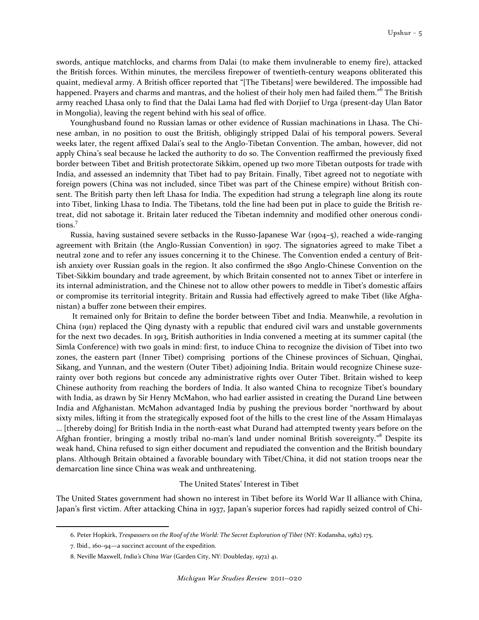swords, antique matchlocks, and charms from Dalai (to make them invulnerable to enemy fire), attacked the British forces. Within minutes, the merciless firepower of twentieth-century weapons obliterated this quaint, medieval army. A British officer reported that "[The Tibetans] were bewildered. The impossible had happened. Prayers and charms and mantras, and the holiest of their holy men had failed them."<sup>6</sup> The British army reached Lhasa only to find that the Dalai Lama had fled with Dorjief to Urga (present-day Ulan Bator in Mongolia), leaving the regent behind with his seal of office.

Younghusband found no Russian lamas or other evidence of Russian machinations in Lhasa. The Chinese amban, in no position to oust the British, obligingly stripped Dalai of his temporal powers. Several weeks later, the regent affixed Dalai's seal to the Anglo-Tibetan Convention. The amban, however, did not apply China's seal because he lacked the authority to do so. The Convention reaffirmed the previously fixed border between Tibet and British protectorate Sikkim, opened up two more Tibetan outposts for trade with India, and assessed an indemnity that Tibet had to pay Britain. Finally, Tibet agreed not to negotiate with foreign powers (China was not included, since Tibet was part of the Chinese empire) without British consent. The British party then left Lhasa for India. The expedition had strung a telegraph line along its route into Tibet, linking Lhasa to India. The Tibetans, told the line had been put in place to guide the British retreat, did not sabotage it. Britain later reduced the Tibetan indemnity and modified other onerous conditions.<sup>7</sup>

Russia, having sustained severe setbacks in the Russo-Japanese War (1904–5), reached a wide-ranging agreement with Britain (the Anglo-Russian Convention) in 1907. The signatories agreed to make Tibet a neutral zone and to refer any issues concerning it to the Chinese. The Convention ended a century of British anxiety over Russian goals in the region. It also confirmed the 1890 Anglo-Chinese Convention on the Tibet-Sikkim boundary and trade agreement, by which Britain consented not to annex Tibet or interfere in its internal administration, and the Chinese not to allow other powers to meddle in Tibet's domestic affairs or compromise its territorial integrity. Britain and Russia had effectively agreed to make Tibet (like Afghanistan) a buffer zone between their empires.

 It remained only for Britain to define the border between Tibet and India. Meanwhile, a revolution in China (1911) replaced the Qing dynasty with a republic that endured civil wars and unstable governments for the next two decades. In 1913, British authorities in India convened a meeting at its summer capital (the Simla Conference) with two goals in mind: first, to induce China to recognize the division of Tibet into two zones, the eastern part (Inner Tibet) comprising portions of the Chinese provinces of Sichuan, Qinghai, Sikang, and Yunnan, and the western (Outer Tibet) adjoining India. Britain would recognize Chinese suzerainty over both regions but concede any administrative rights over Outer Tibet. Britain wished to keep Chinese authority from reaching the borders of India. It also wanted China to recognize Tibet's boundary with India, as drawn by Sir Henry McMahon, who had earlier assisted in creating the Durand Line between India and Afghanistan. McMahon advantaged India by pushing the previous border "northward by about sixty miles, lifting it from the strategically exposed foot of the hills to the crest line of the Assam Himalayas … [thereby doing] for British India in the north-east what Durand had attempted twenty years before on the Afghan frontier, bringing a mostly tribal no-man's land under nominal British sovereignty."<sup>8</sup> Despite its weak hand, China refused to sign either document and repudiated the convention and the British boundary plans. Although Britain obtained a favorable boundary with Tibet/China, it did not station troops near the demarcation line since China was weak and unthreatening.

## The United States' Interest in Tibet

The United States government had shown no interest in Tibet before its World War II alliance with China, Japan's first victim. After attacking China in 1937, Japan's superior forces had rapidly seized control of Chi-

<sup>6.</sup> Peter Hopkirk, Trespassers on the Roof of the World: The Secret Exploration of Tibet (NY: Kodansha, 1982) 175.

<sup>7.</sup> Ibid., 160–94—a succinct account of the expedition.

<sup>8.</sup> Neville Maxwell, India's China War (Garden City, NY: Doubleday, 1972) 41.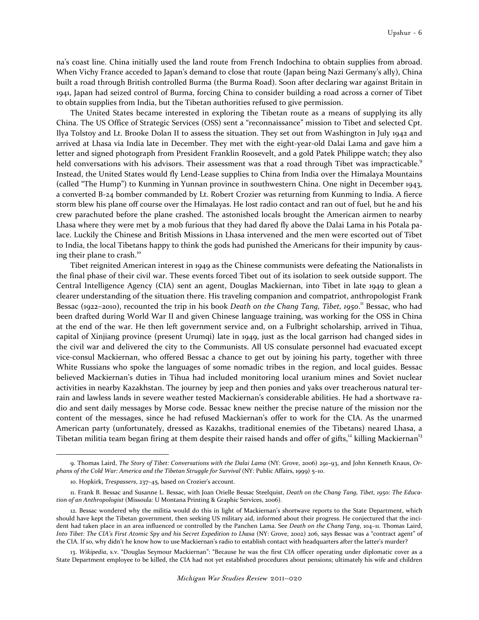na's coast line. China initially used the land route from French Indochina to obtain supplies from abroad. When Vichy France acceded to Japan's demand to close that route (Japan being Nazi Germany's ally), China built a road through British controlled Burma (the Burma Road). Soon after declaring war against Britain in 1941, Japan had seized control of Burma, forcing China to consider building a road across a corner of Tibet to obtain supplies from India, but the Tibetan authorities refused to give permission.

The United States became interested in exploring the Tibetan route as a means of supplying its ally China. The US Office of Strategic Services (OSS) sent a "reconnaissance" mission to Tibet and selected Cpt. Ilya Tolstoy and Lt. Brooke Dolan II to assess the situation. They set out from Washington in July 1942 and arrived at Lhasa via India late in December. They met with the eight-year-0ld Dalai Lama and gave him a letter and signed photograph from President Franklin Roosevelt, and a gold Patek Philippe watch; they also held conversations with his advisors. Their assessment was that a road through Tibet was impracticable.<sup>9</sup> Instead, the United States would fly Lend-Lease supplies to China from India over the Himalaya Mountains (called "The Hump") to Kunming in Yunnan province in southwestern China. One night in December 1943, a converted B-24 bomber commanded by Lt. Robert Crozier was returning from Kunming to India. A fierce storm blew his plane off course over the Himalayas. He lost radio contact and ran out of fuel, but he and his crew parachuted before the plane crashed. The astonished locals brought the American airmen to nearby Lhasa where they were met by a mob furious that they had dared fly above the Dalai Lama in his Potala palace. Luckily the Chinese and British Missions in Lhasa intervened and the men were escorted out of Tibet to India, the local Tibetans happy to think the gods had punished the Americans for their impunity by causing their plane to crash.<sup>10</sup>

Tibet reignited American interest in 1949 as the Chinese communists were defeating the Nationalists in the final phase of their civil war. These events forced Tibet out of its isolation to seek outside support. The Central Intelligence Agency (CIA) sent an agent, Douglas Mackiernan, into Tibet in late 1949 to glean a clearer understanding of the situation there. His traveling companion and compatriot, anthropologist Frank Bessac (1922-2010), recounted the trip in his book Death on the Chang Tang, Tibet, 1950.<sup>11</sup> Bessac, who had been drafted during World War II and given Chinese language training, was working for the OSS in China at the end of the war. He then left government service and, on a Fulbright scholarship, arrived in Tihua, capital of Xinjiang province (present Urumqi) late in 1949, just as the local garrison had changed sides in the civil war and delivered the city to the Communists. All US consulate personnel had evacuated except vice-consul Mackiernan, who offered Bessac a chance to get out by joining his party, together with three White Russians who spoke the languages of some nomadic tribes in the region, and local guides. Bessac believed Mackiernan's duties in Tihua had included monitoring local uranium mines and Soviet nuclear activities in nearby Kazakhstan. The journey by jeep and then ponies and yaks over treacherous natural terrain and lawless lands in severe weather tested Mackiernan's considerable abilities. He had a shortwave radio and sent daily messages by Morse code. Bessac knew neither the precise nature of the mission nor the content of the messages, since he had refused Mackiernan's offer to work for the CIA. As the unarmed American party (unfortunately, dressed as Kazakhs, traditional enemies of the Tibetans) neared Lhasa, a Tibetan militia team began firing at them despite their raised hands and offer of gifts, $12 \text{ hilling Mackiernan}^{13}$ 

<sup>9.</sup> Thomas Laird, The Story of Tibet: Conversations with the Dalai Lama (NY: Grove, 2006) 291-93, and John Kenneth Knaus, Orphans of the Cold War: America and the Tibetan Struggle for Survival (NY: Public Affairs, 1999) 5–10.

<sup>10.</sup> Hopkirk, Trespassers, 237–45, based on Crozier's account.

<sup>11.</sup> Frank B. Bessac and Susanne L. Bessac, with Joan Orielle Bessac Steelquist, Death on the Chang Tang, Tibet, 1950: The Education of an Anthropologist (Missoula: U Montana Printing & Graphic Services, 2006).

<sup>12.</sup> Bessac wondered why the militia would do this in light of Mackiernan's shortwave reports to the State Department, which should have kept the Tibetan government, then seeking US military aid, informed about their progress. He conjectured that the incident had taken place in an area influenced or controlled by the Panchen Lama. See Death on the Chang Tang, 104-11. Thomas Laird, Into Tibet: The CIA's First Atomic Spy and his Secret Expedition to Lhasa (NY: Grove, 2002) 206, says Bessac was a "contract agent" of the CIA. If so, why didn't he know how to use Mackiernan's radio to establish contact with headquarters after the latter's murder?

<sup>13.</sup> Wikipedia, s.v. "Douglas Seymour Mackiernan": "Because he was the first CIA officer operating under diplomatic cover as a State Department employee to be killed, the CIA had not yet established procedures about pensions; ultimately his wife and children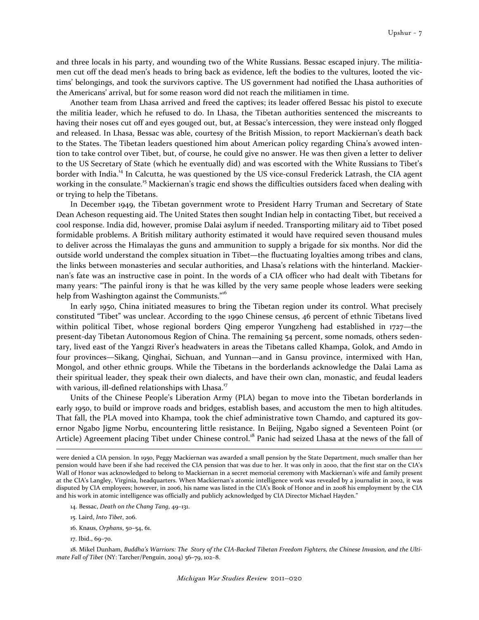and three locals in his party, and wounding two of the White Russians. Bessac escaped injury. The militiamen cut off the dead men's heads to bring back as evidence, left the bodies to the vultures, looted the victims' belongings, and took the survivors captive. The US government had notified the Lhasa authorities of the Americans' arrival, but for some reason word did not reach the militiamen in time.

Another team from Lhasa arrived and freed the captives; its leader offered Bessac his pistol to execute the militia leader, which he refused to do. In Lhasa, the Tibetan authorities sentenced the miscreants to having their noses cut off and eyes gouged out, but, at Bessac's intercession, they were instead only flogged and released. In Lhasa, Bessac was able, courtesy of the British Mission, to report Mackiernan's death back to the States. The Tibetan leaders questioned him about American policy regarding China's avowed intention to take control over Tibet, but, of course, he could give no answer. He was then given a letter to deliver to the US Secretary of State (which he eventually did) and was escorted with the White Russians to Tibet's border with India.<sup>14</sup> In Calcutta, he was questioned by the US vice-consul Frederick Latrash, the CIA agent working in the consulate.<sup>15</sup> Mackiernan's tragic end shows the difficulties outsiders faced when dealing with or trying to help the Tibetans.

In December 1949, the Tibetan government wrote to President Harry Truman and Secretary of State Dean Acheson requesting aid. The United States then sought Indian help in contacting Tibet, but received a cool response. India did, however, promise Dalai asylum if needed. Transporting military aid to Tibet posed formidable problems. A British military authority estimated it would have required seven thousand mules to deliver across the Himalayas the guns and ammunition to supply a brigade for six months. Nor did the outside world understand the complex situation in Tibet—the fluctuating loyalties among tribes and clans, the links between monasteries and secular authorities, and Lhasa's relations with the hinterland. Mackiernan's fate was an instructive case in point. In the words of a CIA officer who had dealt with Tibetans for many years: "The painful irony is that he was killed by the very same people whose leaders were seeking help from Washington against the Communists."<sup>16</sup>

In early 1950, China initiated measures to bring the Tibetan region under its control. What precisely constituted "Tibet" was unclear. According to the 1990 Chinese census, 46 percent of ethnic Tibetans lived within political Tibet, whose regional borders Qing emperor Yungzheng had established in 1727—the present-day Tibetan Autonomous Region of China. The remaining 54 percent, some nomads, others sedentary, lived east of the Yangzi River's headwaters in areas the Tibetans called Khampa, Golok, and Amdo in four provinces—Sikang, Qinghai, Sichuan, and Yunnan—and in Gansu province, intermixed with Han, Mongol, and other ethnic groups. While the Tibetans in the borderlands acknowledge the Dalai Lama as their spiritual leader, they speak their own dialects, and have their own clan, monastic, and feudal leaders with various, ill-defined relationships with Lhasa.<sup>17</sup>

Units of the Chinese People's Liberation Army (PLA) began to move into the Tibetan borderlands in early 1950, to build or improve roads and bridges, establish bases, and accustom the men to high altitudes. That fall, the PLA moved into Khampa, took the chief administrative town Chamdo, and captured its governor Ngabo Jigme Norbu, encountering little resistance. In Beijing, Ngabo signed a Seventeen Point (or Article) Agreement placing Tibet under Chinese control.<sup>18</sup> Panic had seized Lhasa at the news of the fall of  $\overline{a}$ 

- 16. Knaus, Orphans, 50–54, 61.
- 17. Ibid., 69–70.

18. Mikel Dunham, Buddha's Warriors: The Story of the CIA-Backed Tibetan Freedom Fighters, the Chinese Invasion, and the Ultimate Fall of Tibet (NY: Tarcher/Penguin, 2004) 56–79, 102–8.

were denied a CIA pension. In 1950, Peggy Mackiernan was awarded a small pension by the State Department, much smaller than her pension would have been if she had received the CIA pension that was due to her. It was only in 2000, that the first star on the CIA's Wall of Honor was acknowledged to belong to Mackiernan in a secret memorial ceremony with Mackiernan's wife and family present at the CIA's Langley, Virginia, headquarters. When Mackiernan's atomic intelligence work was revealed by a journalist in 2002, it was disputed by CIA employees; however, in 2006, his name was listed in the CIA's Book of Honor and in 2008 his employment by the CIA and his work in atomic intelligence was officially and publicly acknowledged by CIA Director Michael Hayden."

<sup>14.</sup> Bessac, Death on the Chang Tang, 49–131.

<sup>15.</sup> Laird, Into Tibet, 206.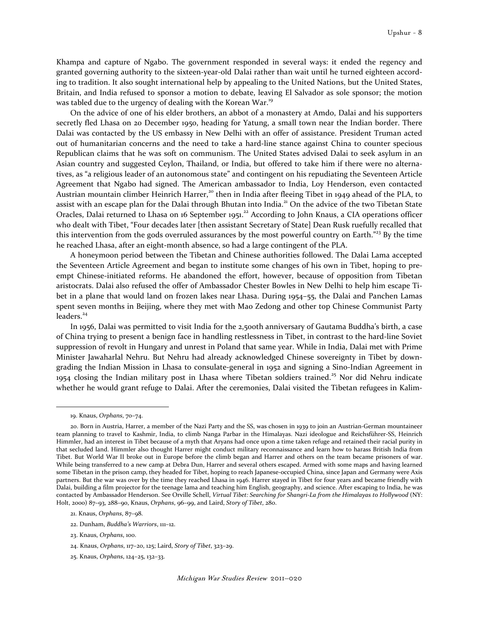Khampa and capture of Ngabo. The government responded in several ways: it ended the regency and granted governing authority to the sixteen-year-old Dalai rather than wait until he turned eighteen according to tradition. It also sought international help by appealing to the United Nations, but the United States, Britain, and India refused to sponsor a motion to debate, leaving El Salvador as sole sponsor; the motion was tabled due to the urgency of dealing with the Korean War.<sup>19</sup>

On the advice of one of his elder brothers, an abbot of a monastery at Amdo, Dalai and his supporters secretly fled Lhasa on 20 December 1950, heading for Yatung, a small town near the Indian border. There Dalai was contacted by the US embassy in New Delhi with an offer of assistance. President Truman acted out of humanitarian concerns and the need to take a hard-line stance against China to counter specious Republican claims that he was soft on communism. The United States advised Dalai to seek asylum in an Asian country and suggested Ceylon, Thailand, or India, but offered to take him if there were no alternatives, as "a religious leader of an autonomous state" and contingent on his repudiating the Seventeen Article Agreement that Ngabo had signed. The American ambassador to India, Loy Henderson, even contacted Austrian mountain climber Heinrich Harrer,<sup>20</sup> then in India after fleeing Tibet in 1949 ahead of the PLA, to assist with an escape plan for the Dalai through Bhutan into India.<sup>21</sup> On the advice of the two Tibetan State Oracles, Dalai returned to Lhasa on 16 September 1951.<sup>22</sup> According to John Knaus, a CIA operations officer who dealt with Tibet, "Four decades later [then assistant Secretary of State] Dean Rusk ruefully recalled that this intervention from the gods overruled assurances by the most powerful country on Earth."<sup>23</sup> By the time he reached Lhasa, after an eight-month absence, so had a large contingent of the PLA.

A honeymoon period between the Tibetan and Chinese authorities followed. The Dalai Lama accepted the Seventeen Article Agreement and began to institute some changes of his own in Tibet, hoping to preempt Chinese-initiated reforms. He abandoned the effort, however, because of opposition from Tibetan aristocrats. Dalai also refused the offer of Ambassador Chester Bowles in New Delhi to help him escape Tibet in a plane that would land on frozen lakes near Lhasa. During 1954–55, the Dalai and Panchen Lamas spent seven months in Beijing, where they met with Mao Zedong and other top Chinese Communist Party leaders.<sup>24</sup>

In 1956, Dalai was permitted to visit India for the 2,500th anniversary of Gautama Buddha's birth, a case of China trying to present a benign face in handling restlessness in Tibet, in contrast to the hard-line Soviet suppression of revolt in Hungary and unrest in Poland that same year. While in India, Dalai met with Prime Minister Jawaharlal Nehru. But Nehru had already acknowledged Chinese sovereignty in Tibet by downgrading the Indian Mission in Lhasa to consulate-general in 1952 and signing a Sino-Indian Agreement in 1954 closing the Indian military post in Lhasa where Tibetan soldiers trained.<sup>25</sup> Nor did Nehru indicate whether he would grant refuge to Dalai. After the ceremonies, Dalai visited the Tibetan refugees in Kalim-

<sup>19.</sup> Knaus, Orphans, 70–74.

<sup>20.</sup> Born in Austria, Harrer, a member of the Nazi Party and the SS, was chosen in 1939 to join an Austrian-German mountaineer team planning to travel to Kashmir, India, to climb Nanga Parbar in the Himalayas. Nazi ideologue and Reichsführer-SS, Heinrich Himmler, had an interest in Tibet because of a myth that Aryans had once upon a time taken refuge and retained their racial purity in that secluded land. Himmler also thought Harrer might conduct military reconnaissance and learn how to harass British India from Tibet. But World War II broke out in Europe before the climb began and Harrer and others on the team became prisoners of war. While being transferred to a new camp at Debra Dun, Harrer and several others escaped. Armed with some maps and having learned some Tibetan in the prison camp, they headed for Tibet, hoping to reach Japanese-occupied China, since Japan and Germany were Axis partners. But the war was over by the time they reached Lhasa in 1946. Harrer stayed in Tibet for four years and became friendly with Dalai, building a film projector for the teenage lama and teaching him English, geography, and science. After escaping to India, he was contacted by Ambassador Henderson. See Orville Schell, Virtual Tibet: Searching for Shangri-La from the Himalayas to Hollywood (NY: Holt, 2000) 87–93, 288–90, Knaus, Orphans, 96–99, and Laird, Story of Tibet, 280.

<sup>21.</sup> Knaus, Orphans, 87–98.

<sup>22.</sup> Dunham, Buddha's Warriors, 111–12.

<sup>23.</sup> Knaus, Orphans, 100.

<sup>24.</sup> Knaus, Orphans, 117–20, 125; Laird, Story of Tibet, 323–29.

<sup>25.</sup> Knaus, Orphans, 124–25, 132–33.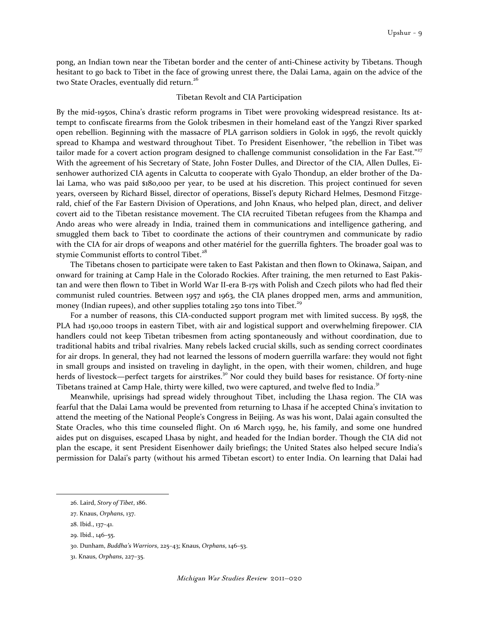pong, an Indian town near the Tibetan border and the center of anti-Chinese activity by Tibetans. Though hesitant to go back to Tibet in the face of growing unrest there, the Dalai Lama, again on the advice of the two State Oracles, eventually did return.<sup>26</sup>

### Tibetan Revolt and CIA Participation

By the mid-1950s, China's drastic reform programs in Tibet were provoking widespread resistance. Its attempt to confiscate firearms from the Golok tribesmen in their homeland east of the Yangzi River sparked open rebellion. Beginning with the massacre of PLA garrison soldiers in Golok in 1956, the revolt quickly spread to Khampa and westward throughout Tibet. To President Eisenhower, "the rebellion in Tibet was tailor made for a covert action program designed to challenge communist consolidation in the Far East."<sup>27</sup> With the agreement of his Secretary of State, John Foster Dulles, and Director of the CIA, Allen Dulles, Eisenhower authorized CIA agents in Calcutta to cooperate with Gyalo Thondup, an elder brother of the Dalai Lama, who was paid \$180,000 per year, to be used at his discretion. This project continued for seven years, overseen by Richard Bissel, director of operations, Bissel's deputy Richard Helmes, Desmond Fitzgerald, chief of the Far Eastern Division of Operations, and John Knaus, who helped plan, direct, and deliver covert aid to the Tibetan resistance movement. The CIA recruited Tibetan refugees from the Khampa and Ando areas who were already in India, trained them in communications and intelligence gathering, and smuggled them back to Tibet to coordinate the actions of their countrymen and communicate by radio with the CIA for air drops of weapons and other matériel for the guerrilla fighters. The broader goal was to stymie Communist efforts to control Tibet.<sup>28</sup>

The Tibetans chosen to participate were taken to East Pakistan and then flown to Okinawa, Saipan, and onward for training at Camp Hale in the Colorado Rockies. After training, the men returned to East Pakistan and were then flown to Tibet in World War II-era B-17s with Polish and Czech pilots who had fled their communist ruled countries. Between 1957 and 1963, the CIA planes dropped men, arms and ammunition, money (Indian rupees), and other supplies totaling 250 tons into Tibet.<sup>29</sup>

For a number of reasons, this CIA-conducted support program met with limited success. By 1958, the PLA had 150,000 troops in eastern Tibet, with air and logistical support and overwhelming firepower. CIA handlers could not keep Tibetan tribesmen from acting spontaneously and without coordination, due to traditional habits and tribal rivalries. Many rebels lacked crucial skills, such as sending correct coordinates for air drops. In general, they had not learned the lessons of modern guerrilla warfare: they would not fight in small groups and insisted on traveling in daylight, in the open, with their women, children, and huge herds of livestock—perfect targets for airstrikes.<sup>30</sup> Nor could they build bases for resistance. Of forty-nine Tibetans trained at Camp Hale, thirty were killed, two were captured, and twelve fled to India.<sup>31</sup>

Meanwhile, uprisings had spread widely throughout Tibet, including the Lhasa region. The CIA was fearful that the Dalai Lama would be prevented from returning to Lhasa if he accepted China's invitation to attend the meeting of the National People's Congress in Beijing. As was his wont, Dalai again consulted the State Oracles, who this time counseled flight. On 16 March 1959, he, his family, and some one hundred aides put on disguises, escaped Lhasa by night, and headed for the Indian border. Though the CIA did not plan the escape, it sent President Eisenhower daily briefings; the United States also helped secure India's permission for Dalai's party (without his armed Tibetan escort) to enter India. On learning that Dalai had

<sup>26.</sup> Laird, Story of Tibet, 186.

<sup>27.</sup> Knaus, Orphans, 137.

<sup>28.</sup> Ibid., 137–41.

<sup>29.</sup> Ibid., 146–55.

<sup>30.</sup> Dunham, Buddha's Warriors, 225–43; Knaus, Orphans, 146–53.

<sup>31.</sup> Knaus, Orphans, 227–35.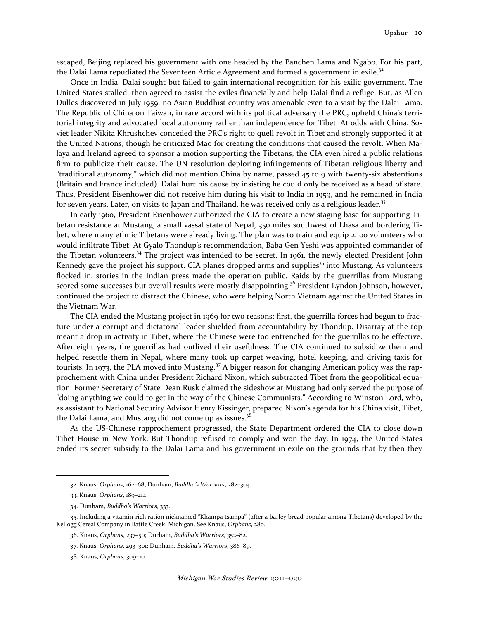escaped, Beijing replaced his government with one headed by the Panchen Lama and Ngabo. For his part, the Dalai Lama repudiated the Seventeen Article Agreement and formed a government in exile.<sup>32</sup>

Once in India, Dalai sought but failed to gain international recognition for his exilic government. The United States stalled, then agreed to assist the exiles financially and help Dalai find a refuge. But, as Allen Dulles discovered in July 1959, no Asian Buddhist country was amenable even to a visit by the Dalai Lama. The Republic of China on Taiwan, in rare accord with its political adversary the PRC, upheld China's territorial integrity and advocated local autonomy rather than independence for Tibet. At odds with China, Soviet leader Nikita Khrushchev conceded the PRC's right to quell revolt in Tibet and strongly supported it at the United Nations, though he criticized Mao for creating the conditions that caused the revolt. When Malaya and Ireland agreed to sponsor a motion supporting the Tibetans, the CIA even hired a public relations firm to publicize their cause. The UN resolution deploring infringements of Tibetan religious liberty and "traditional autonomy," which did not mention China by name, passed 45 to 9 with twenty-six abstentions (Britain and France included). Dalai hurt his cause by insisting he could only be received as a head of state. Thus, President Eisenhower did not receive him during his visit to India in 1959, and he remained in India for seven years. Later, on visits to Japan and Thailand, he was received only as a religious leader.<sup>33</sup>

In early 1960, President Eisenhower authorized the CIA to create a new staging base for supporting Tibetan resistance at Mustang, a small vassal state of Nepal, 350 miles southwest of Lhasa and bordering Tibet, where many ethnic Tibetans were already living. The plan was to train and equip 2,100 volunteers who would infiltrate Tibet. At Gyalo Thondup's recommendation, Baba Gen Yeshi was appointed commander of the Tibetan volunteers.<sup>34</sup> The project was intended to be secret. In 1961, the newly elected President John Kennedy gave the project his support. CIA planes dropped arms and supplies<sup>35</sup> into Mustang. As volunteers flocked in, stories in the Indian press made the operation public. Raids by the guerrillas from Mustang scored some successes but overall results were mostly disappointing.<sup>36</sup> President Lyndon Johnson, however, continued the project to distract the Chinese, who were helping North Vietnam against the United States in the Vietnam War.

The CIA ended the Mustang project in 1969 for two reasons: first, the guerrilla forces had begun to fracture under a corrupt and dictatorial leader shielded from accountability by Thondup. Disarray at the top meant a drop in activity in Tibet, where the Chinese were too entrenched for the guerrillas to be effective. After eight years, the guerrillas had outlived their usefulness. The CIA continued to subsidize them and helped resettle them in Nepal, where many took up carpet weaving, hotel keeping, and driving taxis for tourists. In 1973, the PLA moved into Mustang.<sup>37</sup> A bigger reason for changing American policy was the rapprochement with China under President Richard Nixon, which subtracted Tibet from the geopolitical equation. Former Secretary of State Dean Rusk claimed the sideshow at Mustang had only served the purpose of "doing anything we could to get in the way of the Chinese Communists." According to Winston Lord, who, as assistant to National Security Advisor Henry Kissinger, prepared Nixon's agenda for his China visit, Tibet, the Dalai Lama, and Mustang did not come up as issues.<sup>38</sup>

As the US-Chinese rapprochement progressed, the State Department ordered the CIA to close down Tibet House in New York. But Thondup refused to comply and won the day. In 1974, the United States ended its secret subsidy to the Dalai Lama and his government in exile on the grounds that by then they

<sup>32.</sup> Knaus, Orphans, 162–68; Dunham, Buddha's Warriors, 282–304.

<sup>33.</sup> Knaus, Orphans, 189–214.

<sup>34.</sup> Dunham, Buddha's Warriors, 333.

<sup>35.</sup> Including a vitamin-rich ration nicknamed "Khampa tsampa" (after a barley bread popular among Tibetans) developed by the Kellogg Cereal Company in Battle Creek, Michigan. See Knaus, Orphans, 280.

<sup>36.</sup> Knaus, Orphans, 237–50; Durham, Buddha's Warriors, 352–82.

<sup>37.</sup> Knaus, Orphans, 293–301; Dunham, Buddha's Warriors, 386–89.

<sup>38.</sup> Knaus, Orphans, 309–10.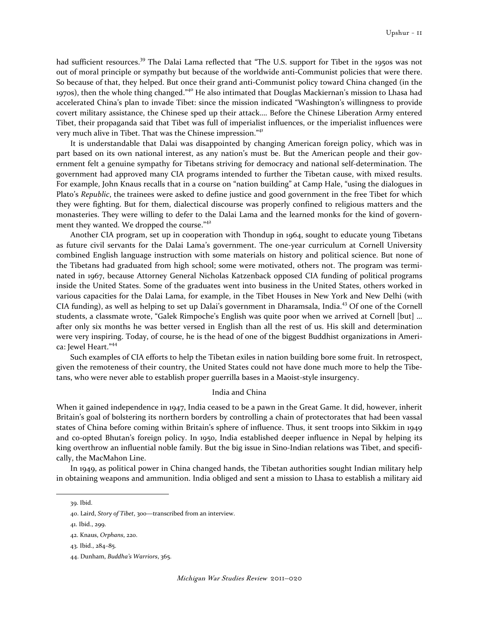had sufficient resources.<sup>39</sup> The Dalai Lama reflected that "The U.S. support for Tibet in the 1950s was not out of moral principle or sympathy but because of the worldwide anti-Communist policies that were there. So because of that, they helped. But once their grand anti-Communist policy toward China changed (in the 1970s), then the whole thing changed."<sup>40</sup> He also intimated that Douglas Mackiernan's mission to Lhasa had accelerated China's plan to invade Tibet: since the mission indicated "Washington's willingness to provide covert military assistance, the Chinese sped up their attack…. Before the Chinese Liberation Army entered Tibet, their propaganda said that Tibet was full of imperialist influences, or the imperialist influences were very much alive in Tibet. That was the Chinese impression."<sup>41</sup>

It is understandable that Dalai was disappointed by changing American foreign policy, which was in part based on its own national interest, as any nation's must be. But the American people and their government felt a genuine sympathy for Tibetans striving for democracy and national self-determination. The government had approved many CIA programs intended to further the Tibetan cause, with mixed results. For example, John Knaus recalls that in a course on "nation building" at Camp Hale, "using the dialogues in Plato's Republic, the trainees were asked to define justice and good government in the free Tibet for which they were fighting. But for them, dialectical discourse was properly confined to religious matters and the monasteries. They were willing to defer to the Dalai Lama and the learned monks for the kind of government they wanted. We dropped the course."<sup>42</sup>

Another CIA program, set up in cooperation with Thondup in 1964, sought to educate young Tibetans as future civil servants for the Dalai Lama's government. The one-year curriculum at Cornell University combined English language instruction with some materials on history and political science. But none of the Tibetans had graduated from high school; some were motivated, others not. The program was terminated in 1967, because Attorney General Nicholas Katzenback opposed CIA funding of political programs inside the United States. Some of the graduates went into business in the United States, others worked in various capacities for the Dalai Lama, for example, in the Tibet Houses in New York and New Delhi (with CIA funding), as well as helping to set up Dalai's government in Dharamsala, India.<sup>43</sup> Of one of the Cornell students, a classmate wrote, "Galek Rimpoche's English was quite poor when we arrived at Cornell [but] … after only six months he was better versed in English than all the rest of us. His skill and determination were very inspiring. Today, of course, he is the head of one of the biggest Buddhist organizations in America: Jewel Heart."<sup>44</sup>

Such examples of CIA efforts to help the Tibetan exiles in nation building bore some fruit. In retrospect, given the remoteness of their country, the United States could not have done much more to help the Tibetans, who were never able to establish proper guerrilla bases in a Maoist-style insurgency.

## India and China

When it gained independence in 1947, India ceased to be a pawn in the Great Game. It did, however, inherit Britain's goal of bolstering its northern borders by controlling a chain of protectorates that had been vassal states of China before coming within Britain's sphere of influence. Thus, it sent troops into Sikkim in 1949 and co-opted Bhutan's foreign policy. In 1950, India established deeper influence in Nepal by helping its king overthrow an influential noble family. But the big issue in Sino-Indian relations was Tibet, and specifically, the MacMahon Line.

In 1949, as political power in China changed hands, the Tibetan authorities sought Indian military help in obtaining weapons and ammunition. India obliged and sent a mission to Lhasa to establish a military aid

<sup>39.</sup> Ibid.

<sup>40.</sup> Laird, Story of Tibet, 300—transcribed from an interview.

<sup>41.</sup> Ibid., 299.

<sup>42.</sup> Knaus, Orphans, 220.

<sup>43.</sup> Ibid., 284–85.

<sup>44.</sup> Dunham, Buddha's Warriors, 365.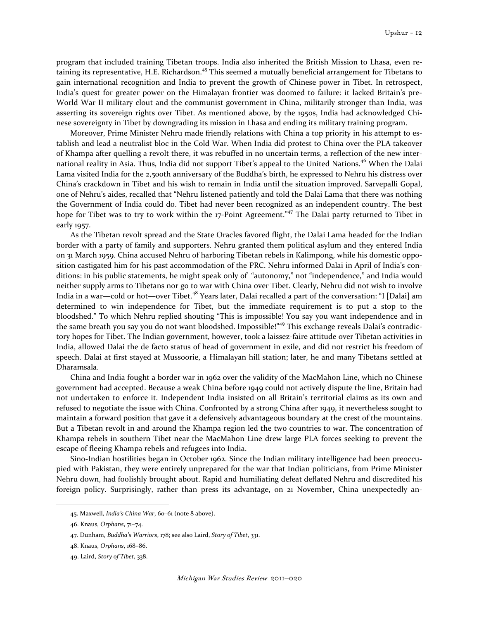program that included training Tibetan troops. India also inherited the British Mission to Lhasa, even retaining its representative, H.E. Richardson.<sup>45</sup> This seemed a mutually beneficial arrangement for Tibetans to gain international recognition and India to prevent the growth of Chinese power in Tibet. In retrospect, India's quest for greater power on the Himalayan frontier was doomed to failure: it lacked Britain's pre-World War II military clout and the communist government in China, militarily stronger than India, was asserting its sovereign rights over Tibet. As mentioned above, by the 1950s, India had acknowledged Chinese sovereignty in Tibet by downgrading its mission in Lhasa and ending its military training program.

Moreover, Prime Minister Nehru made friendly relations with China a top priority in his attempt to establish and lead a neutralist bloc in the Cold War. When India did protest to China over the PLA takeover of Khampa after quelling a revolt there, it was rebuffed in no uncertain terms, a reflection of the new international reality in Asia. Thus, India did not support Tibet's appeal to the United Nations.<sup>46</sup> When the Dalai Lama visited India for the 2,500th anniversary of the Buddha's birth, he expressed to Nehru his distress over China's crackdown in Tibet and his wish to remain in India until the situation improved. Sarvepalli Gopal, one of Nehru's aides, recalled that "Nehru listened patiently and told the Dalai Lama that there was nothing the Government of India could do. Tibet had never been recognized as an independent country. The best hope for Tibet was to try to work within the 17-Point Agreement."<sup>47</sup> The Dalai party returned to Tibet in early 1957.

As the Tibetan revolt spread and the State Oracles favored flight, the Dalai Lama headed for the Indian border with a party of family and supporters. Nehru granted them political asylum and they entered India on 31 March 1959. China accused Nehru of harboring Tibetan rebels in Kalimpong, while his domestic opposition castigated him for his past accommodation of the PRC. Nehru informed Dalai in April of India's conditions: in his public statements, he might speak only of "autonomy," not "independence," and India would neither supply arms to Tibetans nor go to war with China over Tibet. Clearly, Nehru did not wish to involve India in a war—cold or hot—over Tibet.<sup>48</sup> Years later, Dalai recalled a part of the conversation: "I [Dalai] am determined to win independence for Tibet, but the immediate requirement is to put a stop to the bloodshed." To which Nehru replied shouting "This is impossible! You say you want independence and in the same breath you say you do not want bloodshed. Impossible!"<sup>49</sup> This exchange reveals Dalai's contradictory hopes for Tibet. The Indian government, however, took a laissez-faire attitude over Tibetan activities in India, allowed Dalai the de facto status of head of government in exile, and did not restrict his freedom of speech. Dalai at first stayed at Mussoorie, a Himalayan hill station; later, he and many Tibetans settled at Dharamsala.

China and India fought a border war in 1962 over the validity of the MacMahon Line, which no Chinese government had accepted. Because a weak China before 1949 could not actively dispute the line, Britain had not undertaken to enforce it. Independent India insisted on all Britain's territorial claims as its own and refused to negotiate the issue with China. Confronted by a strong China after 1949, it nevertheless sought to maintain a forward position that gave it a defensively advantageous boundary at the crest of the mountains. But a Tibetan revolt in and around the Khampa region led the two countries to war. The concentration of Khampa rebels in southern Tibet near the MacMahon Line drew large PLA forces seeking to prevent the escape of fleeing Khampa rebels and refugees into India.

Sino-Indian hostilities began in October 1962. Since the Indian military intelligence had been preoccupied with Pakistan, they were entirely unprepared for the war that Indian politicians, from Prime Minister Nehru down, had foolishly brought about. Rapid and humiliating defeat deflated Nehru and discredited his foreign policy. Surprisingly, rather than press its advantage, on 21 November, China unexpectedly an-

<sup>45.</sup> Maxwell, India's China War, 60–61 (note 8 above).

<sup>46.</sup> Knaus, Orphans, 71–74.

<sup>47.</sup> Dunham, Buddha's Warriors, 178; see also Laird, Story of Tibet, 331.

<sup>48.</sup> Knaus, Orphans, 168–86.

<sup>49.</sup> Laird, Story of Tibet, 338.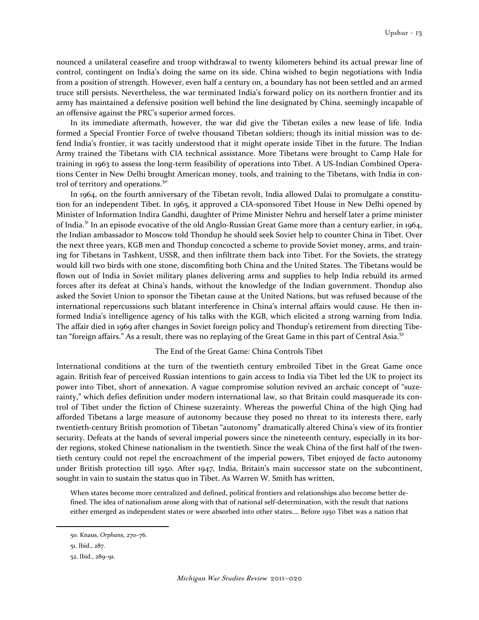nounced a unilateral ceasefire and troop withdrawal to twenty kilometers behind its actual prewar line of control, contingent on India's doing the same on its side. China wished to begin negotiations with India from a position of strength. However, even half a century on, a boundary has not been settled and an armed truce still persists. Nevertheless, the war terminated India's forward policy on its northern frontier and its army has maintained a defensive position well behind the line designated by China, seemingly incapable of an offensive against the PRC's superior armed forces.

In its immediate aftermath, however, the war did give the Tibetan exiles a new lease of life. India formed a Special Frontier Force of twelve thousand Tibetan soldiers; though its initial mission was to defend India's frontier, it was tacitly understood that it might operate inside Tibet in the future. The Indian Army trained the Tibetans with CIA technical assistance. More Tibetans were brought to Camp Hale for training in 1963 to assess the long-term feasibility of operations into Tibet. A US-Indian Combined Operations Center in New Delhi brought American money, tools, and training to the Tibetans, with India in control of territory and operations.<sup>50</sup>

In 1964, on the fourth anniversary of the Tibetan revolt, India allowed Dalai to promulgate a constitution for an independent Tibet. In 1965, it approved a CIA-sponsored Tibet House in New Delhi opened by Minister of Information Indira Gandhi, daughter of Prime Minister Nehru and herself later a prime minister of India.<sup>51</sup> In an episode evocative of the old Anglo-Russian Great Game more than a century earlier, in 1964, the Indian ambassador to Moscow told Thondup he should seek Soviet help to counter China in Tibet. Over the next three years, KGB men and Thondup concocted a scheme to provide Soviet money, arms, and training for Tibetans in Tashkent, USSR, and then infiltrate them back into Tibet. For the Soviets, the strategy would kill two birds with one stone, discomfiting both China and the United States. The Tibetans would be flown out of India in Soviet military planes delivering arms and supplies to help India rebuild its armed forces after its defeat at China's hands, without the knowledge of the Indian government. Thondup also asked the Soviet Union to sponsor the Tibetan cause at the United Nations, but was refused because of the international repercussions such blatant interference in China's internal affairs would cause. He then informed India's intelligence agency of his talks with the KGB, which elicited a strong warning from India. The affair died in 1969 after changes in Soviet foreign policy and Thondup's retirement from directing Tibetan "foreign affairs." As a result, there was no replaying of the Great Game in this part of Central Asia.<sup>52</sup>

## The End of the Great Game: China Controls Tibet

International conditions at the turn of the twentieth century embroiled Tibet in the Great Game once again. British fear of perceived Russian intentions to gain access to India via Tibet led the UK to project its power into Tibet, short of annexation. A vague compromise solution revived an archaic concept of "suzerainty," which defies definition under modern international law, so that Britain could masquerade its control of Tibet under the fiction of Chinese suzerainty. Whereas the powerful China of the high Qing had afforded Tibetans a large measure of autonomy because they posed no threat to its interests there, early twentieth-century British promotion of Tibetan "autonomy" dramatically altered China's view of its frontier security. Defeats at the hands of several imperial powers since the nineteenth century, especially in its border regions, stoked Chinese nationalism in the twentieth. Since the weak China of the first half of the twentieth century could not repel the encroachment of the imperial powers, Tibet enjoyed de facto autonomy under British protection till 1950. After 1947, India, Britain's main successor state on the subcontinent, sought in vain to sustain the status quo in Tibet. As Warren W. Smith has written,

When states become more centralized and defined, political frontiers and relationships also become better defined. The idea of nationalism arose along with that of national self-determination, with the result that nations either emerged as independent states or were absorbed into other states…. Before 1950 Tibet was a nation that

<sup>50.</sup> Knaus, Orphans, 270–76.

<sup>51.</sup> Ibid., 287.

<sup>52.</sup> Ibid., 289–91.